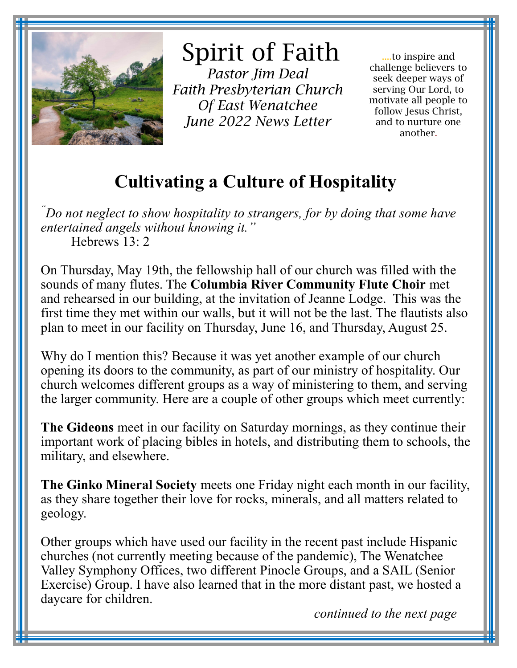

## Spirit of Faith

*Pastor Jim Deal Faith Presbyterian Church Of East Wenatchee June 2022 News Letter* 

....to inspire and challenge believers to seek deeper ways of serving Our Lord, to motivate all people to follow Jesus Christ, and to nurture one another.

## **Cultivating a Culture of Hospitality**

*"Do not neglect to show hospitality to strangers, for by doing that some have entertained angels without knowing it."* Hebrews 13: 2

On Thursday, May 19th, the fellowship hall of our church was filled with the sounds of many flutes. The **Columbia River Community Flute Choir** met and rehearsed in our building, at the invitation of Jeanne Lodge. This was the first time they met within our walls, but it will not be the last. The flautists also plan to meet in our facility on Thursday, June 16, and Thursday, August 25.

Why do I mention this? Because it was yet another example of our church opening its doors to the community, as part of our ministry of hospitality. Our church welcomes different groups as a way of ministering to them, and serving the larger community. Here are a couple of other groups which meet currently:

**The Gideons** meet in our facility on Saturday mornings, as they continue their important work of placing bibles in hotels, and distributing them to schools, the military, and elsewhere.

**The Ginko Mineral Society** meets one Friday night each month in our facility, as they share together their love for rocks, minerals, and all matters related to geology.

Other groups which have used our facility in the recent past include Hispanic churches (not currently meeting because of the pandemic), The Wenatchee Valley Symphony Offices, two different Pinocle Groups, and a SAIL (Senior Exercise) Group. I have also learned that in the more distant past, we hosted a daycare for children.

 *continued to the next page*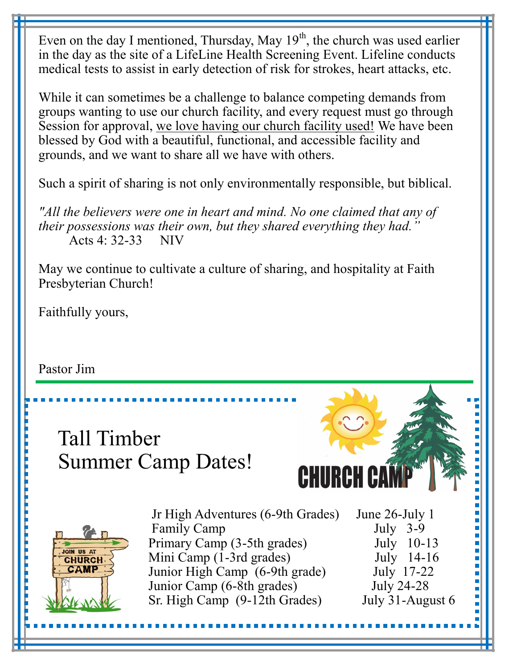Even on the day I mentioned, Thursday, May  $19<sup>th</sup>$ , the church was used earlier in the day as the site of a LifeLine Health Screening Event. Lifeline conducts medical tests to assist in early detection of risk for strokes, heart attacks, etc.

While it can sometimes be a challenge to balance competing demands from groups wanting to use our church facility, and every request must go through Session for approval, we love having our church facility used! We have been blessed by God with a beautiful, functional, and accessible facility and grounds, and we want to share all we have with others.

Such a spirit of sharing is not only environmentally responsible, but biblical.

*"All the believers were one in heart and mind. No one claimed that any of their possessions was their own, but they shared everything they had."* Acts 4: 32-33 NIV

May we continue to cultivate a culture of sharing, and hospitality at Faith Presbyterian Church!

Faithfully yours,

Pastor Jim

## Tall Timber Summer Camp Dates!





Jr High Adventures (6-9th Grades) June 26-July 1 Family Camp July 3-9 Primary Camp (3-5th grades) July 10-13 Mini Camp (1-3rd grades) July 14-16<br>Junior High Camp (6-9th grade) July 17-22 Junior High Camp (6-9th grade) Junior Camp (6-8th grades) July 24-28 Sr. High Camp (9-12th Grades) July 31-August 6

Ľ İ ı

i<br>D  $\overline{\phantom{a}}$ 

Ľ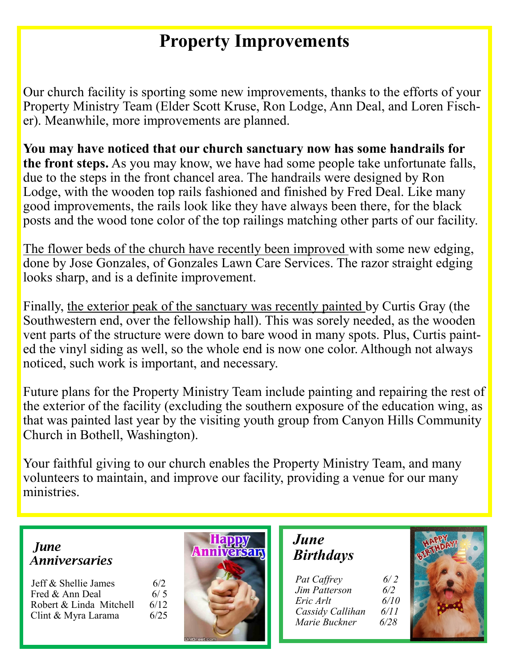## **Property Improvements**

Our church facility is sporting some new improvements, thanks to the efforts of your Property Ministry Team (Elder Scott Kruse, Ron Lodge, Ann Deal, and Loren Fischer). Meanwhile, more improvements are planned.

**You may have noticed that our church sanctuary now has some handrails for the front steps.** As you may know, we have had some people take unfortunate falls, due to the steps in the front chancel area. The handrails were designed by Ron Lodge, with the wooden top rails fashioned and finished by Fred Deal. Like many good improvements, the rails look like they have always been there, for the black posts and the wood tone color of the top railings matching other parts of our facility.

The flower beds of the church have recently been improved with some new edging, done by Jose Gonzales, of Gonzales Lawn Care Services. The razor straight edging looks sharp, and is a definite improvement.

Finally, the exterior peak of the sanctuary was recently painted by Curtis Gray (the Southwestern end, over the fellowship hall). This was sorely needed, as the wooden vent parts of the structure were down to bare wood in many spots. Plus, Curtis painted the vinyl siding as well, so the whole end is now one color. Although not always noticed, such work is important, and necessary.

Future plans for the Property Ministry Team include painting and repairing the rest of the exterior of the facility (excluding the southern exposure of the education wing, as that was painted last year by the visiting youth group from Canyon Hills Community Church in Bothell, Washington).

Your faithful giving to our church enables the Property Ministry Team, and many volunteers to maintain, and improve our facility, providing a venue for our many ministries.

 *June Anniversaries*

| Jeff & Shellie James    | 6/2  |
|-------------------------|------|
| Fred & Ann Deal         | 6/5  |
| Robert & Linda Mitchell | 6/12 |
| Clint & Myra Larama     | 6/25 |



 *June Birthdays*

| Pat Caffrey          | 6/2  |
|----------------------|------|
| <b>Jim Patterson</b> | 6/2  |
| Eric Arlt            | 6/10 |
| Cassidy Callihan     | 6/11 |
| Marie Buckner        | 6/28 |